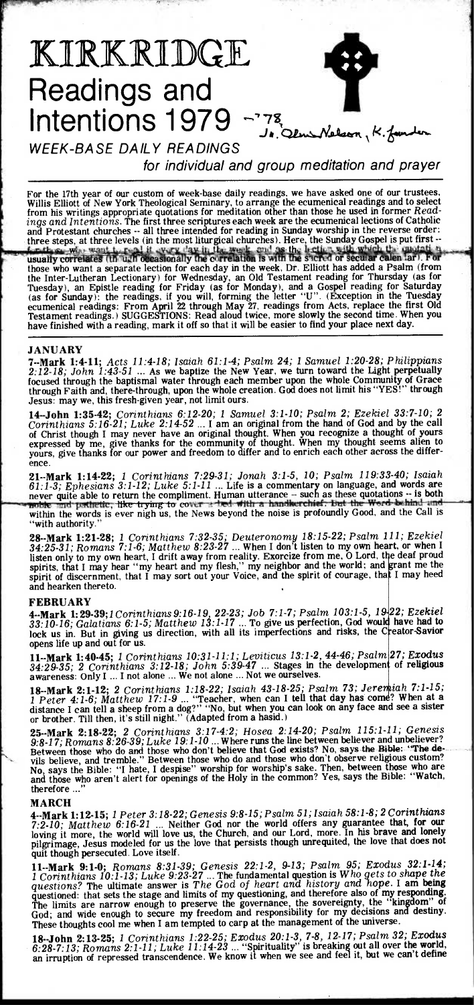

WEEK-BASE DAILY READINGS

for individual and group meditation and prayer

For the 17th year of our custom of week-base daily readings, we have asked one of our trustees, Willis Elliott of New York Theological Seminary, to arrange the ecumenical readings and to select from his writings appropriate quotations for meditation other than those he used in former *Readings and Intentions.* The first three scriptures each week are the ecumenical lections of Catholic and Protestant churches -- all three intended for reading in Sunday worship in the reverse order: three steps, at three levels (in the most liturgical churches). Here, the Sunday Gospel is put first --<br>far these who want to real it every day in the weak, and as the lection with which the quadratic usually correlates (in ugh occasionally the correlation is with the sucred or secular calen lar). those who want a separate lection for each day in the week, Dr. Elliott has added a Psalm (from the Inter-Lutheran Lectionary) for Wednesday, an Old Testament reading for Thursday (as for Tuesday), an Epistle reading for Friday (as for Monday), and a Gospel reading for Saturday (as for Sunday): the readings, if you will, forming the letter "U". (Exception in the Tuesday ecumenical readings: From April 22 through May 27, readings from Acts, replace the first Old Testament readings.) SUGGESTIONS: Read aloud twice, more slowly the second time. When you have finished with a reading, mark it off so that it will be easier to find your place next day.

# **JANUARY**

**7--Mark 1:4-11;** *Acts 11:4-18; Isaiah 61:1-4; Psalm 24; 1 Samuel 1:20-28; Philippians 2:12-18; John 1:43-51 ...* As we baptize the New Year, we turn toward the Light perpetually focused through the baptismal water through each member upon the whole Community of Grace through Faith and, there-through, upon the whole creation. God does not limit his "YES!" through Jesus: may we, this fresh-given year, not limit ours.

**14--John 1:35-42;** *Corinthians 6:12-20; 1 Samuel 3:1-10; Psalm 2; Ezekiel 33:7-10;* 2 *Corinthians 5:16-21; Luke 2:14-52 ...* **I** *am* an original from the hand of God and by the call of Christ though I may never have an original thought. When you recognize a thought of yours expressed by me, give thanks for the community of thought. When my thought seems alien to yours, give thanks for our power and freedom to differ and to enrich each other across the difference.

**21--Mark 1:14-22;** *1 Corinthians 7:29-31; Jonah 3:1-5, 10; Psalm 119:33-40; Isaiah 61:1-3; Ephesians 3:1-12; Luke 5:1-11 ...* Life is a commentary on language, and words are never quite able to return the compliment. Human utterance -- such as these quotations -- is both neutron of partnetic, like-trying-to-cover a bed with a handkerchief. But the Word behind and the matching-handle is aver pi woble and pathetic, like trying to cover a bed with a handkerchief. But the Word behind and within the words is ever nigh us, the News beyond the noise is profoundly Good, and the Call is with authority.

**28--Mark 1:21-28;** *1 Corinthians 7:32-35; Deuteronomy 18:15-22; Psalm 111; Ezekiel 34:25-31; Romans 7:1-6; Matthew 8:23-27 ...* When I don't listen to my own heart, or when I listen only to my own heart, I drift away from reality. Exorcize from me, O Lord, the deaf proud spirits, that I may hear "my heart and my flesh," my neighbor and the world; and grant me the spirit of discernment, that I may sort out your Voice, and the spirit of courage, th4 I may heed and hearken thereto.

#### **FEBRUARY**

**4--Mark 1:29-39;1** *Corinthians 9:16-19,* 22-23; *Job 7:1-7; Psalm 103:1-5, 19* 22; *Ezekiel 33:10-16; Galatians 6:1-5; Matthew 13:1-17 ... To give us perfection, God would have had to lock us in. But in giving us direction, with all its imperfections and risks, the Creator-Savior* opens life up and out for us.

**11--Mark 1:40-45;** *1 Corinthians 10:31-11:1; Leviticus 13:1-2, 44-46; Psalm 27; Exodus*  34:29-35; 2 *Corinthians 3:12-18;* John 5:39-47 ... Stages in the development of religious awareness: Only I ... I not alone ... We not alone ... Not we ourselves.

**18-Mark 2:1-12; 2** Corinthians 1:18-22; Isaiah 43-18-25; Psalm 73; Jeremiah 7:1-15; *18-Mark 2:1-15 I Peter 4:1-6; Matthew 17:1-9 ...* "Teacher, when can I tell that day has come? When at a distance I can tell a sheep from a dog?" "No, but when you can look on any face and see a sister or brother. Till then, it's still night." (Adapted from a hasid.)

**25--Mark 2:18-22;** *2 Corinthians 3:17-4:2; Hosea 2:14-20; Psalm 115:1-11; Genesis 9:8-17; Romans 8:26-39; Luke 19:1-10 ...* Where runs the line between believer and unbeliever? Between those who do and those who don't believe that God exists? No, says the Bible: "The devils believe, and tremble." Between those who do and those who don't observe religious custom? No, says the Bible: "I hate, I despise" worship for worship's sake. Then, between those who are and those who aren't alert for openings of the Holy in the common? Yes, says the Bible: "Watch, therefore ..."

### **MARCH**

**4--Mark 1:12-15;** *1 P eter 3:18-22; Genesis 9:8-15; Psalm 51; Isaiah 58:1-8; 2 Corinthians 7:2-10; Matthew 6:16-21 ...* Neither God nor the world offers any guarantee that, **for our**  loving it more, the world will love us, the Church, and our Lord, more. In his brave and **lonely**  pilgrimage, Jesus modeled for us the love that persists though unrequited, the love that does not quit though persecuted. Love itself.

**11--Mark 9:1-0;** *Romans 8:31-39; Genesis* 22:1-2, *9-13; Psalm 95; Exodus 32:1-14; 1 Corinthians 10:1-13; Luke* 9:23-27 ... The fundamental question is *Who gets to shape the questions?* The ultimate answer is *The God of heart and history* and *hope.* I am **being**  questioned: that sets the stage and limits of my questioning, and therefore also of my responding. The limits are narrow enough to preserve the governance, the sovereignty, the "kingdom" of God; and wide enough to secure my freedom and responsibility for my decisions and destiny. These thoughts cool me when I am tempted to carp at the management of the universe.

**18--John 2:13-25;** *I Corinthians 1:22-25; Exodus 20:1-3, 7-8, 12-17; Psalm* 32; *Exodus 6:28-7:13; Romans 2:1-11; Luke 11:14-23 ...* "Spirituality" is breaking out all over the world, an irruption of repressed transcendence. We know it when we see and feel it, but we can't define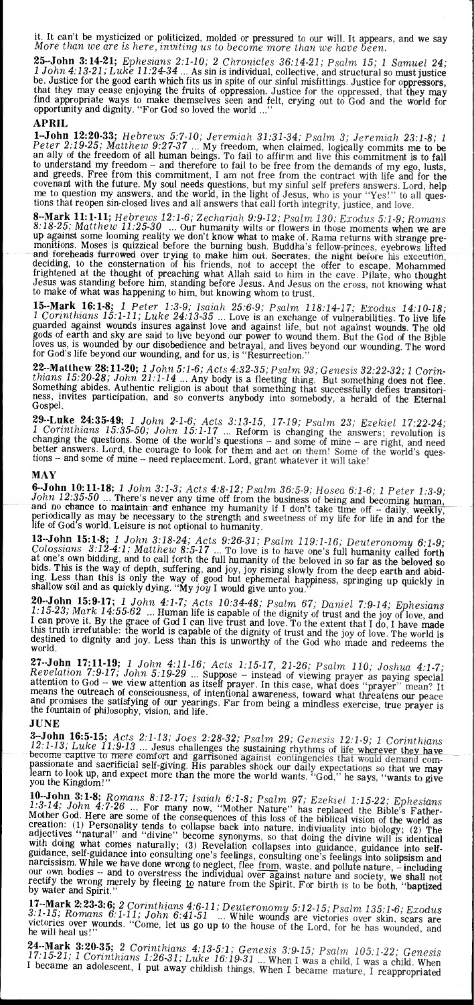it. It can't be mysticized or politicized, molded or pressured to our will. It appears, and we say *More than we are is here, inviting us to become more than we have been.* 

**25--John 3:14-21;** *Ephesians 2:1-10; 2 Chronicles 36:14-21; Psalm 15; 1 Samuel* **24;**  *1 John 4:13-21; Luke 11:24-34 ...* As sin is individual, collective, and structural so must justice be. Justice for the good earth which fits us in spite of our sinful misfittings. Justice for oppressors, that they may cease enjoying the fruits of oppression. Justice for the oppressed, that they may find appropriate ways to make themselves seen and felt, crying out to God and the world for opportunity and dignity. "For God so loved the world ..."

# **APRIL**

**1--John 12:20-33;** *Hebrews 5:7-10; Jeremiah 31:31-34; Psalm 3; Jeremiah 23:1-8; I Peter 2:19-25; Matthew 9:27-37 ...* My freedom, when claimed, logically commits me to **be**  an ally of the freedom of all human beings. To fail to affirm and live this commitment is to fail to understand my freedom - and therefore to fail to be free from the demands of my ego, lusts, and greeds. Free from this commitment, I am not free from the contract with life and for the covenant with the future. My soul needs questions, but my sinful self prefers answers. Lord, help me to question my answers, and the world, in the light of Jesus, who is your "Yes!" to all questions that reopen sin-closed lives and all answers that call forth integrity, justice, and love.

**8--Mark 11:1-11;** *Hebrews 12:1-6; Zechariah 9:9-12; Psalm 130; Exodus 5:1-9; Romans 8:18-25; Matthew 11:25-30 ...* Our humanity wilts or flowers in those moments when we are up against some looming reality we don't know what to make of. Rama returns with strange premonitions. Moses is quizzical before the burning bush. Buddha's fellow-princes, eyebrows lifted and foreheads furrowed over trying to make him out. Socrates, the night before his execution, deciding, to the consternation of his friends, not to accept the offer to escape. Mohammed frightened at the thought of preaching what Allah said to him in the cave. Pilate, who thought Jesus was standing before him, standing before Jesus. And Jesus on the cross, not knowing what to make of what was happening to him, but knowing whom to trust.

**15--Mark 16:1-8;** *I Peter 1:3-9; Isaiah 25:6-9; Psalm 118:14-17; Exodus 14:10-18; 1 Corinthians 15:1-11; Luke 24:13-35 ...* Love is an exchange of vulnerabilities. To live life guarded against wounds insures against love and against life, but not against wounds. The old gods of earth and sky are said to live beyond our power to wound them. But the God of the Bible loves us, is wounded by our disobedience and betrayal, and lives beyond our wounding. The word for God's life beyond our wounding, and for us, is "Resurrection."

**22--Matthew 28:11-20;** *1 John 5:1-6; Acts 4:32-35; Psalm 93; Genesis 32:22-32; 1 Corinthians 15:20-28; John 21:1-14 ...* Any body is a fleeting thing. But something does not flee. Something abides. Authentic religion is about that something that successfully defies transitoriness, invites participation, and so converts anybody into somebody, a herald of the Eternal Gospel.

**29.-Luke 24:35-49;** 1 John 2-1-6; Acts 3:13-15, 17-19;  $Psalm$  23; Ezekiel 17:22-24; 1 Corinthians 15:35-50; John 15:1-17 ... Reform is changing the answers; revolution is changing the questions. Some of the world's questi better answers. Lord, the courage to look for them and act on them! Some of the world's questions -- and some of mine -- need replacement. Lord, grant whatever it will take!

### **MAY**

**6--John 10:11-18;** *1 John 3:1-3; Acts 4:8-12; Psalm 36:5-9; Hosea 6:1-6; 1 Peter 1:3-9;*  John 12:35-50 ... There's never any time off from the business of being and becoming human,<br>and no chance to maintain and enhance my humanity if I don't take time off – daily, weekly,<br>periodically as may be necessary to t

13-John 15:1-8; 1 John 3:18-24; Acts 9:26-31; Psalm 119:1-16; Deuteronomy 6:1-9; Colossians 3:12-4:1; Matthew 8:5-17 ... To love is to have one's full humanity called forth at one's own bidding, and to call forth the full ing. Less than this is only the way of good but ephemeral happiness, springing up **quickly** in shallow soil and as quickly dying. "My *joy* I would give unto you."

**20.-John 15:9-17;** 1 John 4:1-7; Acts 10:34-48; Psalm 67; Daniel 7:9-14; Ephesians 1:15-23; Mark 14:55-62 ... Human life is capable of the dignity of trust and the joy of love, and Lean prove it. By the grace of God I ca this truth irrefutable: the world is capable of the dignity of trust and the joy of love. The world is destined to dignity and joy. Less than this is unworthy of the God who made and redeems the world.

**27--John 17:11-19;** *1 John 4:11-16; Acts 1:15-17, 21-26; Psalm 110; Joshua 4:1-7;*  Revelation 7:9-17; John 5:19-29 ... Suppose -- instead of viewing prayer as paying special attention to God -- we view attention as itself prayer. In this case, what does "prayer" mean? It means the outreach of consciousness, of intentional awareness, toward what threatens our peace and promises the satisfying of our yearings. Far from being a mindless exercise, true prayer is the fountain of philosophy, vision, and life.

# **JUNE**

3-John 16:5-15; Acts 2:1-13; Joes 2:28-32; Psalm 29; Genesis 12:1-9; 1 Corinthians 12:1-13; Luke 11:9-13 ... Jesus challenges the sustaining rhythms of life wherever they have become captive to mere comfort and garrisoned

**10--John 3:1-8;** *Romans 8:12-17; Isaiah 6:1-8; Psalm 97; Ezekiel 1:15-22; Ephesians 1:3-14; John 4:7-26 ...* For many now, "Mother Nature" has replaced the Bible's Father-Mother God. Here are some of the consequences of this loss of the biblical vision of the world as<br>creation: (1) Personality tends to collapse back into nature, indivivality into biology; (2) The<br>adjactives "natural" and te adjectives "natural" and "divine" become synonyms, so that doing the divine will is identical with doing what comes naturally; (3) Revelation collapses into guidance, guidance into self-<br>mudning guidance, self-guidance into consulting one's feelings, consulting one's feelings into solipsism and <br>narcissism. While we have done wrong to neglect, flee <u>from</u>, waste, and pollute nature, - including our own bodies -- and to overstress the individual over against nature and society, we shall not rectify the wrong merely by fleeing to nature from the Spirit. For birth is to be both, "baptized by water and Spirit."

**17--Mark 2: 23-3: 6;** *2 Corinthians 4:6-11; Deuteronomy 5:12-15; Psalm 135:1-6; Exodus 3:1-15; Romans 6:1-11; John 6:41-51 ... While wounds are victories over skin, scars are victories over wounds "Come let us as are the* victories over wounds. "Come, let us go up to the house of the Lord, for he has wounded, and he will heal us!"

**24. Mark 3:20.35;** 2 Corinthians 4:13-5:1; Genesis 3:9-15; Psalm 105:1-22; Genesis 17:15-21; 1 Corinthians 1:26-31; Luke 16:19-31 ... When I was a child, I was a child. When I became an adolescent, I put away childish thi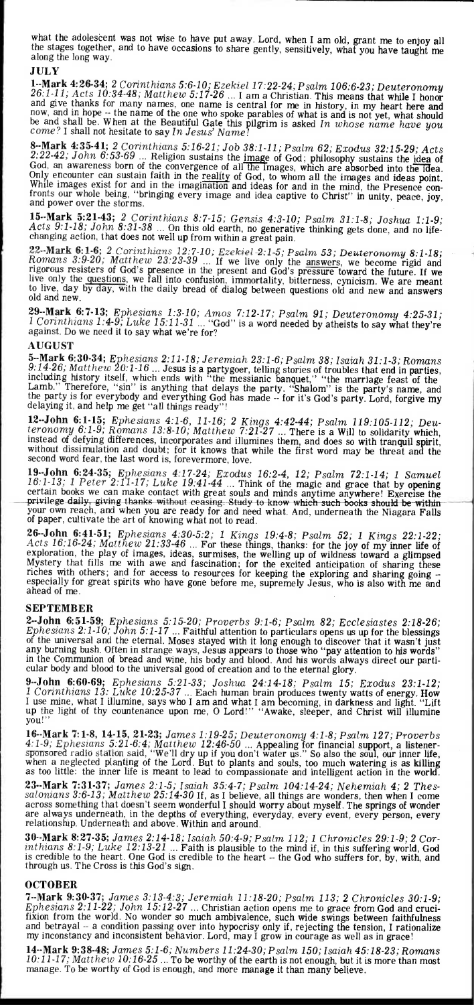what the adoleseent was not wise to have put away. Lord, when I am old, grant me to enjoy all the stages together, and to have occasions to share gently, sensitively, what you have taught me along the long way.

## **JULY**

**1--Mark 4:26-34;** *2 Corinthians 5:6-10; Ezekiel 17:22-24; Psalm 106:6-23; Deuteronomy 26:1-11; Acts 10:34-48; Matthew 5:17-26 ...* I am a Christian. This means that while I honor and give thanks for many names, one name is central for me in history, in my heart here and now, and in hope -- the name of the one who spoke parables of what is and is not yet, what should<br>be and shall be. When at the Beautiful Gate this pilgrim is asked In whose name have you<br>come? I shall not hesitate to say

8-Mark 4:35-41; 2 Corinthians 5:16-21; Job 38:1-11; Psalm 62; Exodus 32:15-29; Acts 2:22-42; John 6:53-69 ... Religion sustains the image of God; philosophy sustains the idea of God, an awareness born of the convergence o fronts our whole being, "bringing every image and idea captive to Christ" in unity, peace, joy, and power over the storms.

**15--Mark 5:21-43;** *2 Corinthians 8:7-15; Gensis 4:3-10; Psalm 31:1-8; Joshua 1:1-9;*  Acts 9:1-18; John 8:31-38 ... On this old earth, no generative thinking gets done, and no life-<br>changing action, that does not well up from within a great pain.

22-Mark 6:1-6; 2 Corinthians 12:7-10; Ezekiel-2:1-5; Psalm 53; Deuteronomy 8:1-18; Romans 3:9-20; Matthew 23:23-39 ... If we live only the answers, we become rigid and rigorous resisters of God's presence in the present a to live, day by day, with the daily bread of dialog between questions old and new and answers old and new.

**29--Mark 6:7-13;** *Ephesians 1:3-10; Amos 7:12-17; Psalm 91; Deuteronomy 4:25-31; I* Corinthians 1:4-9; Luke 15:11-31 ... "God" is a word needed by atheists to say what they're against. Do we need it to say what we're for?

### **AUGUST**

**5--Mark 6:30-34;** *Ephesians 2:11-18; Jeremiah 23:1-6; Psalm 38; Isaiah 31:1-3; Romans 9:14-26; Matthew 20:1-16 ...* Jesus is a partygoer, telling stories of troubles that end in parties, including history itself, which ends with 'the messianic banquet," "the marriage feast of the Lamb." Therefore, "sin" is anything that delays the party. "Shalom" is the party's name, and the party is for everybody and everything God has made -- for it's God's party. Lord, forgive my delaying it, and help me get "all things ready"!

**12--John 6:1-15;** *Ephesians 4:1-6, 11-16; 2 Kings 4:42-44; Psalm 119:105-112; Deuteronomy 6:1-9; Romans 13:8-10; Matthew 7:21-27 ...* There is a Will to solidarity which, instead of defying differences, incorporates and illumines them, and does so with tranquil spirit, without dissimulation and doubt; for it knows that while the first word may be threat and the second word fear, the last word is, forevermore, love.

**19--John 6:24-35;** *Ephesians 4:17-24; Exodus 16:2-4, 12; Psalm 72:1-14; 1 Samuel 16:1-13; 1 Peter 2:11-17; Luke 19:41-44 ...* Think of the magic and grace that by opening certain books we can make contact with great souls and minds anytime anywhere! Exercise the privilege daily, giving thanks without ceasing. Study to know whi your own reach, and when you are ready for and need what. And, underneath the Niagara Falls of paper, cultivate the art of knowing what not to read. <mark>່</mark>ງດ

**26--John 6:41-51;** *Ephesians 4:30-5:2; 1 Kings 19:4-8; Psalm 52; 1 Kings* 22:1-22; *Acts 16:16-24; Matthew 21:33-46 ...* For these things, thanks: for the joy of my inner life of exploration, the play of images, ideas, surmises, the welling up of wildness toward a glimpsed Mystery that fills me with awe and fascination; for the excited anticipation of sharing these riches with others; and for access to resources for keeping the exploring and sharing going -especially for great spirits who have gone before me, supremely Jesus, who is also with me and ahead of me.

# **SEPTEMBER**

**2--John 6:51-59;** *Ephesians 5:15-20; Proverbs 9:1-6; Psalm 82; Ecclesiastes 2:18-26; Ephesians 2:1-10; John 5:1-17 ...* Faithful attention to particulars opens us up for the blessings of the universal and the eternal. Moses stayed with it long enough to discover that it wasn't just any burning bush. Often in strange ways, Jesus appears to those who "pay attention to his words" in the Communion of bread and wine, his body and blood. And his words always direct our particular body and blood to the universal good of creation and to the eternal glory.

**9--John 6:60-69;** *Ephesians 5:21-33; Joshua 24:14-18; Psalm 15; Exodus 23:1-12; 1 Corinthians 13: Luke 10:25-37 ...* Each human brain produces twenty watts of energy. How I use mine, what I illumine, says who I am and what I am becoming, in darkness and light. "Lift up the light of thy countenance upon me, 0 Lord!" "Awake, sleeper, and Christ will illumine you!

**16--Mark 7:1-8, 14-15, 21-23;** *James 1:19-25; Deuteronomy 4:1-8; Psalm 127; Proverbs 4:1-9; Ephesians 5:21-6:4; Matthew 12:46-50 ...* Appealing for financial support, a listenersponsored radio station said, "We'll dry up if you don't water us." So also the soul, our inner life, when a neglected planting of the Lord. But to plants and souls, too much watering is as killing as too little: the inner life is meant to lead to compassionate and intelligent action in the world.

**23--Mark 7:31-37;** *James 2:1-5; Isaiah 35:4-7; Psalm 104:14-24; Nehemiah 4; 2 Thessalonians 3:6-13; Matthew 25:14-30* If, as I believe, all things are wonders, then when I come across something that doesn't seem wonderful **I** should worry about myself. The springs of wonder are always underneath, in the depths of everything, everyday, every event, every person, every relationship. Underneath and above. Within and around.

**30--Mark 8:27-35;** *James 2:14-18; Isaiah 50:4-9; Psalm 112; 1 Chronicles 29:1-9; 2 Corinthians 8:1-9; Luke 12:13-21 ...* Faith is plausible to the mind if, in this suffering world, God is credible to the heart. One God is credible to the heart -- the God who suffers for, by, with, and through us. The Cross is this God's sign.

### **OCTOBER**

**7--Mark 9:30-37;** *James 3:13-4:3; Jeremiah 11:18-20; Psalm 113; 2 Chronicles 30:1-9; Ephesians 2:11-22; John 15:12-27 ...* Christian action opens me to grace from God and crucifixion from the world. No wonder so much ambivalence, such wide swings between faithfulness and betrayal -- a condition passing over into hypocrisy only if, rejecting the tension, I rationalize my inconstancy and inconsistent behavior. Lord, may I grow in courage as well as in grace!

**14--Mark 9:38-48;** *James 5:1-6; Numbers 11:24-30; Psalm 150; Isaiah 45:18-23; Romans 10:11-17; Matthew 10:16-25 ...* To be worthy of the earth is not enough, but it is more than most manage. To be worthy of God is enough, and more manage it than many believe.